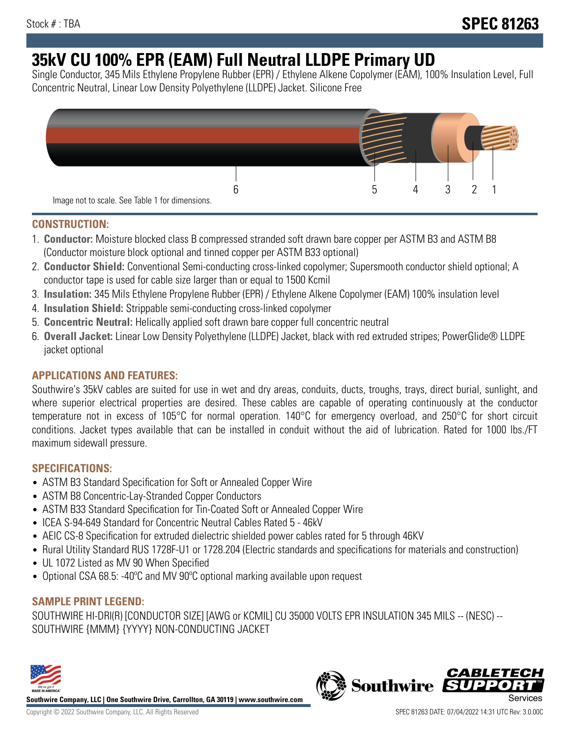# **35kV CU 100% EPR (EAM) Full Neutral LLDPE Primary UD**

Single Conductor, 345 Mils Ethylene Propylene Rubber (EPR) / Ethylene Alkene Copolymer (EAM), 100% Insulation Level, Full Concentric Neutral, Linear Low Density Polyethylene (LLDPE) Jacket. Silicone Free



### **CONSTRUCTION:**

- 1. **Conductor:** Moisture blocked class B compressed stranded soft drawn bare copper per ASTM B3 and ASTM B8 (Conductor moisture block optional and tinned copper per ASTM B33 optional)
- 2. **Conductor Shield:** Conventional Semi-conducting cross-linked copolymer; Supersmooth conductor shield optional; A conductor tape is used for cable size larger than or equal to 1500 Kcmil
- 3. **Insulation:** 345 Mils Ethylene Propylene Rubber (EPR) / Ethylene Alkene Copolymer (EAM) 100% insulation level
- 4. **Insulation Shield:** Strippable semi-conducting cross-linked copolymer
- 5. **Concentric Neutral:** Helically applied soft drawn bare copper full concentric neutral
- 6. **Overall Jacket:** Linear Low Density Polyethylene (LLDPE) Jacket, black with red extruded stripes; PowerGlide® LLDPE jacket optional

### **APPLICATIONS AND FEATURES:**

Southwire's 35kV cables are suited for use in wet and dry areas, conduits, ducts, troughs, trays, direct burial, sunlight, and where superior electrical properties are desired. These cables are capable of operating continuously at the conductor temperature not in excess of 105°C for normal operation. 140°C for emergency overload, and 250°C for short circuit conditions. Jacket types available that can be installed in conduit without the aid of lubrication. Rated for 1000 lbs./FT maximum sidewall pressure.

### **SPECIFICATIONS:**

- ASTM B3 Standard Specification for Soft or Annealed Copper Wire
- ASTM B8 Concentric-Lay-Stranded Copper Conductors
- ASTM B33 Standard Specification for Tin-Coated Soft or Annealed Copper Wire
- ICEA S-94-649 Standard for Concentric Neutral Cables Rated 5 46kV
- AEIC CS-8 Specification for extruded dielectric shielded power cables rated for 5 through 46KV
- Rural Utility Standard RUS 1728F-U1 or 1728.204 (Electric standards and specifications for materials and construction)
- UL 1072 Listed as MV 90 When Specified
- Optional CSA 68.5: -40°C and MV 90°C optional marking available upon request

### **SAMPLE PRINT LEGEND:**

SOUTHWIRE HI-DRI(R) [CONDUCTOR SIZE] [AWG or KCMIL] CU 35000 VOLTS EPR INSULATION 345 MILS -- (NESC) -- SOUTHWIRE {MMM} {YYYY} NON-CONDUCTING JACKET



**Southwire Company, LLC | One Southwire Drive, Carrollton, GA 30119 | www.southwire.com**